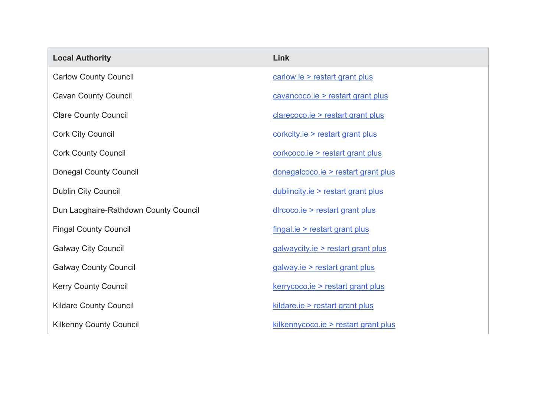| <b>Local Authority</b>                | Link                                 |
|---------------------------------------|--------------------------------------|
| <b>Carlow County Council</b>          | carlow.ie > restart grant plus       |
| <b>Cavan County Council</b>           | cavancoco.ie > restart grant plus    |
| <b>Clare County Council</b>           | clarecoco.ie > restart grant plus    |
| <b>Cork City Council</b>              | corkcity.ie > restart grant plus     |
| <b>Cork County Council</b>            | corkcoco.ie > restart grant plus     |
| <b>Donegal County Council</b>         | donegalcoco.ie > restart grant plus  |
| <b>Dublin City Council</b>            | dublincity.ie > restart grant plus   |
| Dun Laoghaire-Rathdown County Council | dircoco.ie > restart grant plus      |
| <b>Fingal County Council</b>          | $fingal.ie$ > restart grant plus     |
| <b>Galway City Council</b>            | galwaycity.ie > restart grant plus   |
| <b>Galway County Council</b>          | galway.ie > restart grant plus       |
| <b>Kerry County Council</b>           | kerrycoco.ie > restart grant plus    |
| <b>Kildare County Council</b>         | kildare.ie > restart grant plus      |
| <b>Kilkenny County Council</b>        | kilkennycoco.ie > restart grant plus |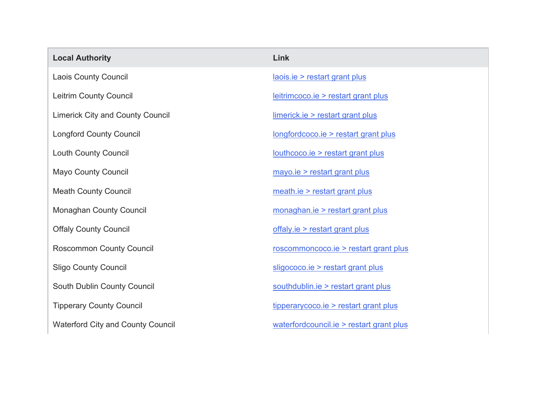| <b>Local Authority</b>                   | Link                                     |
|------------------------------------------|------------------------------------------|
| <b>Laois County Council</b>              | laois.ie > restart grant plus            |
| <b>Leitrim County Council</b>            | leitrimcoco.ie > restart grant plus      |
| <b>Limerick City and County Council</b>  | limerick.ie > restart grant plus         |
| <b>Longford County Council</b>           | longfordcoco.ie > restart grant plus     |
| <b>Louth County Council</b>              | louthcoco.ie > restart grant plus        |
| <b>Mayo County Council</b>               | $mayo.e$ > restart grant plus            |
| <b>Meath County Council</b>              | meath.ie > restart grant plus            |
| <b>Monaghan County Council</b>           | monaghan.ie > restart grant plus         |
| <b>Offaly County Council</b>             | offaly.ie > restart grant plus           |
| <b>Roscommon County Council</b>          | roscommoncoco.ie > restart grant plus    |
| <b>Sligo County Council</b>              | sligococo.ie > restart grant plus        |
| South Dublin County Council              | southdublin.ie > restart grant plus      |
| <b>Tipperary County Council</b>          | tipperarycoco.ie > restart grant plus    |
| <b>Waterford City and County Council</b> | waterfordcouncil.ie > restart grant plus |